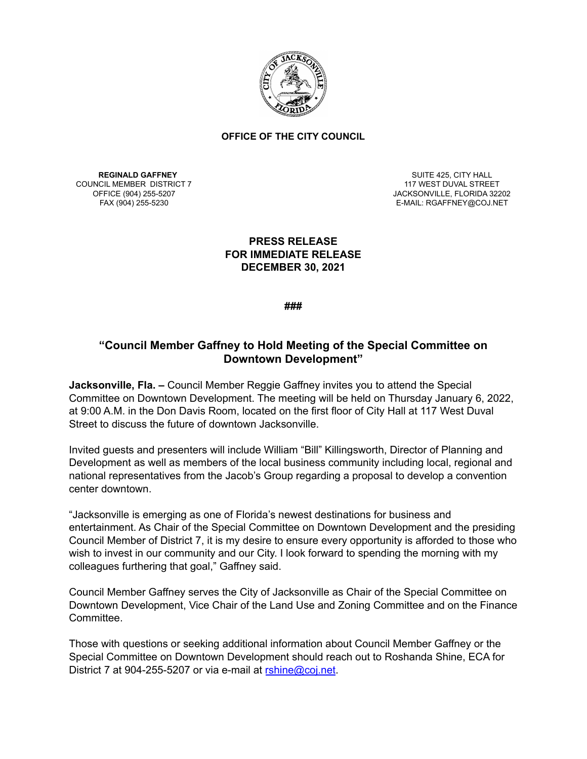

## **OFFICE OF THE CITY COUNCIL**

**REGINALD GAFFNEY** COUNCIL MEMBER DISTRICT 7

SUITE 425, CITY HALL 117 WEST DUVAL STREET OFFICE (904) 255-5207 JACKSONVILLE, FLORIDA 32202 E-MAIL: RGAFFNEY@COJ.NET

## **PRESS RELEASE FOR IMMEDIATE RELEASE DECEMBER 30, 2021**

**###**

## **"Council Member Gaffney to Hold Meeting of the Special Committee on Downtown Development"**

**Jacksonville, Fla. –** Council Member Reggie Gaffney invites you to attend the Special Committee on Downtown Development. The meeting will be held on Thursday January 6, 2022, at 9:00 A.M. in the Don Davis Room, located on the first floor of City Hall at 117 West Duval Street to discuss the future of downtown Jacksonville.

Invited guests and presenters will include William "Bill" Killingsworth, Director of Planning and Development as well as members of the local business community including local, regional and national representatives from the Jacob's Group regarding a proposal to develop a convention center downtown.

"Jacksonville is emerging as one of Florida's newest destinations for business and entertainment. As Chair of the Special Committee on Downtown Development and the presiding Council Member of District 7, it is my desire to ensure every opportunity is afforded to those who wish to invest in our community and our City. I look forward to spending the morning with my colleagues furthering that goal," Gaffney said.

Council Member Gaffney serves the City of Jacksonville as Chair of the Special Committee on Downtown Development, Vice Chair of the Land Use and Zoning Committee and on the Finance Committee.

Those with questions or seeking additional information about Council Member Gaffney or the Special Committee on Downtown Development should reach out to Roshanda Shine, ECA for District 7 at 904-255-5207 or via e-mail at [rshine@coj.net](mailto:rshine@coj.net).